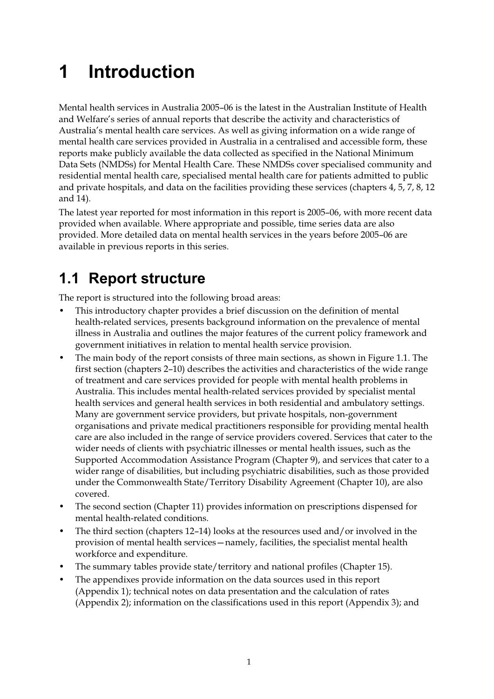# **1 Introduction**

Mental health services in Australia 2005–06 is the latest in the Australian Institute of Health and Welfare's series of annual reports that describe the activity and characteristics of Australia's mental health care services. As well as giving information on a wide range of mental health care services provided in Australia in a centralised and accessible form, these reports make publicly available the data collected as specified in the National Minimum Data Sets (NMDSs) for Mental Health Care. These NMDSs cover specialised community and residential mental health care, specialised mental health care for patients admitted to public and private hospitals, and data on the facilities providing these services (chapters 4, 5, 7, 8, 12 and 14).

The latest year reported for most information in this report is 2005–06, with more recent data provided when available. Where appropriate and possible, time series data are also provided. More detailed data on mental health services in the years before 2005–06 are available in previous reports in this series.

# **1.1 Report structure**

The report is structured into the following broad areas:

- This introductory chapter provides a brief discussion on the definition of mental health-related services, presents background information on the prevalence of mental illness in Australia and outlines the major features of the current policy framework and government initiatives in relation to mental health service provision.
- The main body of the report consists of three main sections, as shown in Figure 1.1. The first section (chapters 2–10) describes the activities and characteristics of the wide range of treatment and care services provided for people with mental health problems in Australia. This includes mental health-related services provided by specialist mental health services and general health services in both residential and ambulatory settings. Many are government service providers, but private hospitals, non-government organisations and private medical practitioners responsible for providing mental health care are also included in the range of service providers covered. Services that cater to the wider needs of clients with psychiatric illnesses or mental health issues, such as the Supported Accommodation Assistance Program (Chapter 9), and services that cater to a wider range of disabilities, but including psychiatric disabilities, such as those provided under the Commonwealth State/Territory Disability Agreement (Chapter 10), are also covered.
- The second section (Chapter 11) provides information on prescriptions dispensed for mental health-related conditions.
- The third section (chapters 12–14) looks at the resources used and/or involved in the provision of mental health services—namely, facilities, the specialist mental health workforce and expenditure.
- The summary tables provide state/territory and national profiles (Chapter 15).
- The appendixes provide information on the data sources used in this report (Appendix 1); technical notes on data presentation and the calculation of rates (Appendix 2); information on the classifications used in this report (Appendix 3); and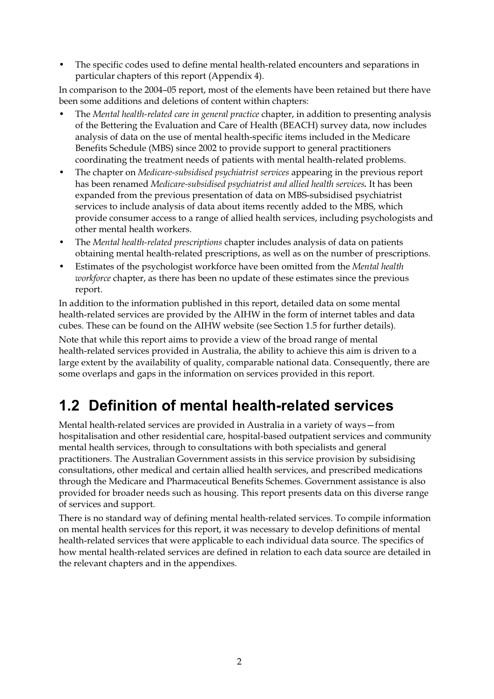• The specific codes used to define mental health-related encounters and separations in particular chapters of this report (Appendix 4).

In comparison to the 2004–05 report, most of the elements have been retained but there have been some additions and deletions of content within chapters:

- The *Mental health-related care in general practice* chapter, in addition to presenting analysis of the Bettering the Evaluation and Care of Health (BEACH) survey data, now includes analysis of data on the use of mental health-specific items included in the Medicare Benefits Schedule (MBS) since 2002 to provide support to general practitioners coordinating the treatment needs of patients with mental health-related problems.
- The chapter on *Medicare-subsidised psychiatrist services* appearing in the previous report has been renamed *Medicare-subsidised psychiatrist and allied health services.* It has been expanded from the previous presentation of data on MBS-subsidised psychiatrist services to include analysis of data about items recently added to the MBS, which provide consumer access to a range of allied health services, including psychologists and other mental health workers.
- The *Mental health-related prescriptions* chapter includes analysis of data on patients obtaining mental health-related prescriptions, as well as on the number of prescriptions.
- Estimates of the psychologist workforce have been omitted from the *Mental health workforce* chapter, as there has been no update of these estimates since the previous report.

In addition to the information published in this report, detailed data on some mental health-related services are provided by the AIHW in the form of internet tables and data cubes. These can be found on the AIHW website (see Section 1.5 for further details).

Note that while this report aims to provide a view of the broad range of mental health-related services provided in Australia, the ability to achieve this aim is driven to a large extent by the availability of quality, comparable national data. Consequently, there are some overlaps and gaps in the information on services provided in this report.

# **1.2 Definition of mental health-related services**

Mental health-related services are provided in Australia in a variety of ways—from hospitalisation and other residential care, hospital-based outpatient services and community mental health services, through to consultations with both specialists and general practitioners. The Australian Government assists in this service provision by subsidising consultations, other medical and certain allied health services, and prescribed medications through the Medicare and Pharmaceutical Benefits Schemes. Government assistance is also provided for broader needs such as housing. This report presents data on this diverse range of services and support.

There is no standard way of defining mental health-related services. To compile information on mental health services for this report, it was necessary to develop definitions of mental health-related services that were applicable to each individual data source. The specifics of how mental health-related services are defined in relation to each data source are detailed in the relevant chapters and in the appendixes.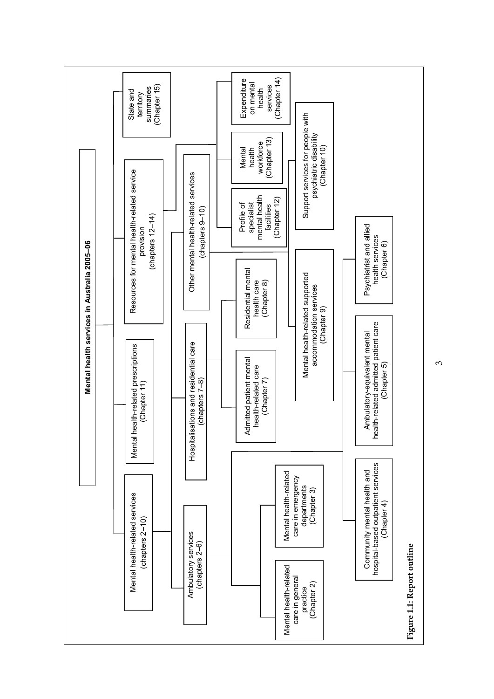

 $\infty$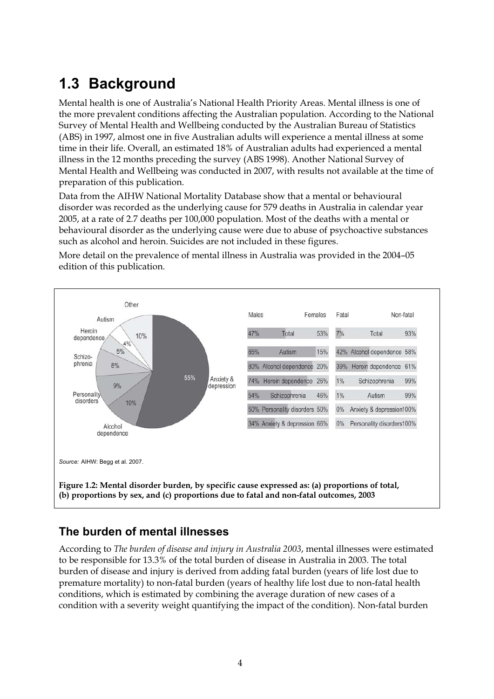# **1.3 Background**

Mental health is one of Australia's National Health Priority Areas. Mental illness is one of the more prevalent conditions affecting the Australian population. According to the National Survey of Mental Health and Wellbeing conducted by the Australian Bureau of Statistics (ABS) in 1997, almost one in five Australian adults will experience a mental illness at some time in their life. Overall, an estimated 18% of Australian adults had experienced a mental illness in the 12 months preceding the survey (ABS 1998). Another National Survey of Mental Health and Wellbeing was conducted in 2007, with results not available at the time of preparation of this publication.

Data from the AIHW National Mortality Database show that a mental or behavioural disorder was recorded as the underlying cause for 579 deaths in Australia in calendar year 2005, at a rate of 2.7 deaths per 100,000 population. Most of the deaths with a mental or behavioural disorder as the underlying cause were due to abuse of psychoactive substances such as alcohol and heroin. Suicides are not included in these figures.

More detail on the prevalence of mental illness in Australia was provided in the 2004–05 edition of this publication.



#### **The burden of mental illnesses**

According to *The burden of disease and injury in Australia 2003*, mental illnesses were estimated to be responsible for 13.3% of the total burden of disease in Australia in 2003. The total burden of disease and injury is derived from adding fatal burden (years of life lost due to premature mortality) to non-fatal burden (years of healthy life lost due to non-fatal health conditions, which is estimated by combining the average duration of new cases of a condition with a severity weight quantifying the impact of the condition). Non-fatal burden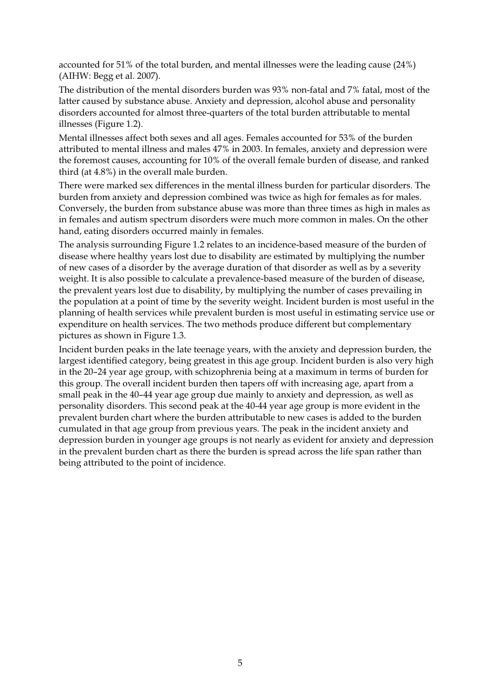accounted for 51% of the total burden, and mental illnesses were the leading cause (24%) (AIHW: Begg et al. 2007).

The distribution of the mental disorders burden was 93% non-fatal and 7% fatal, most of the latter caused by substance abuse. Anxiety and depression, alcohol abuse and personality disorders accounted for almost three-quarters of the total burden attributable to mental illnesses (Figure 1.2).

Mental illnesses affect both sexes and all ages. Females accounted for 53% of the burden attributed to mental illness and males 47% in 2003. In females, anxiety and depression were the foremost causes, accounting for 10% of the overall female burden of disease, and ranked third (at 4.8%) in the overall male burden.

There were marked sex differences in the mental illness burden for particular disorders. The burden from anxiety and depression combined was twice as high for females as for males. Conversely, the burden from substance abuse was more than three times as high in males as in females and autism spectrum disorders were much more common in males. On the other hand, eating disorders occurred mainly in females.

The analysis surrounding Figure 1.2 relates to an incidence-based measure of the burden of disease where healthy years lost due to disability are estimated by multiplying the number of new cases of a disorder by the average duration of that disorder as well as by a severity weight. It is also possible to calculate a prevalence-based measure of the burden of disease, the prevalent years lost due to disability, by multiplying the number of cases prevailing in the population at a point of time by the severity weight. Incident burden is most useful in the planning of health services while prevalent burden is most useful in estimating service use or expenditure on health services. The two methods produce different but complementary pictures as shown in Figure 1.3.

Incident burden peaks in the late teenage years, with the anxiety and depression burden, the largest identified category, being greatest in this age group. Incident burden is also very high in the 20–24 year age group, with schizophrenia being at a maximum in terms of burden for this group. The overall incident burden then tapers off with increasing age, apart from a small peak in the 40–44 year age group due mainly to anxiety and depression, as well as personality disorders. This second peak at the 40-44 year age group is more evident in the prevalent burden chart where the burden attributable to new cases is added to the burden cumulated in that age group from previous years. The peak in the incident anxiety and depression burden in younger age groups is not nearly as evident for anxiety and depression in the prevalent burden chart as there the burden is spread across the life span rather than being attributed to the point of incidence.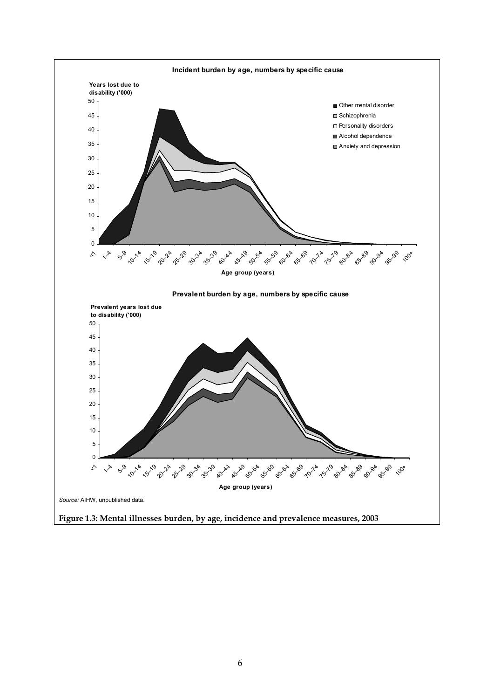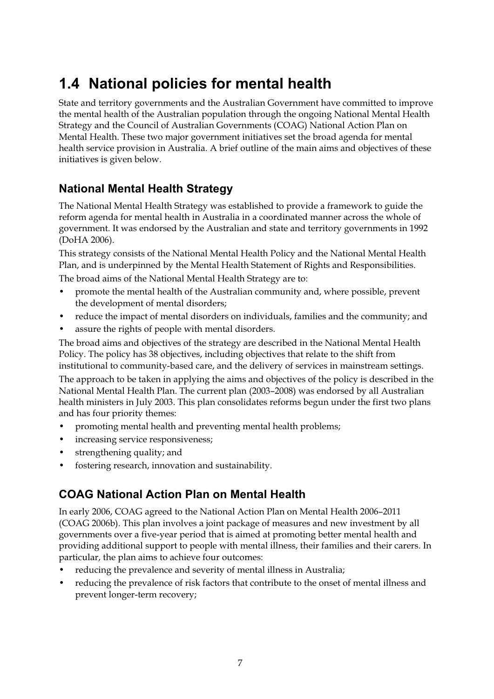# **1.4 National policies for mental health**

State and territory governments and the Australian Government have committed to improve the mental health of the Australian population through the ongoing National Mental Health Strategy and the Council of Australian Governments (COAG) National Action Plan on Mental Health. These two major government initiatives set the broad agenda for mental health service provision in Australia. A brief outline of the main aims and objectives of these initiatives is given below.

#### **National Mental Health Strategy**

The National Mental Health Strategy was established to provide a framework to guide the reform agenda for mental health in Australia in a coordinated manner across the whole of government. It was endorsed by the Australian and state and territory governments in 1992 (DoHA 2006).

This strategy consists of the National Mental Health Policy and the National Mental Health Plan, and is underpinned by the Mental Health Statement of Rights and Responsibilities. The broad aims of the National Mental Health Strategy are to:

- promote the mental health of the Australian community and, where possible, prevent the development of mental disorders;
- reduce the impact of mental disorders on individuals, families and the community; and
- assure the rights of people with mental disorders.

The broad aims and objectives of the strategy are described in the National Mental Health Policy. The policy has 38 objectives, including objectives that relate to the shift from institutional to community-based care, and the delivery of services in mainstream settings.

The approach to be taken in applying the aims and objectives of the policy is described in the National Mental Health Plan. The current plan (2003–2008) was endorsed by all Australian health ministers in July 2003. This plan consolidates reforms begun under the first two plans and has four priority themes:

- promoting mental health and preventing mental health problems;
- increasing service responsiveness;
- strengthening quality; and
- fostering research, innovation and sustainability.

#### **COAG National Action Plan on Mental Health**

In early 2006, COAG agreed to the National Action Plan on Mental Health 2006–2011 (COAG 2006b). This plan involves a joint package of measures and new investment by all governments over a five-year period that is aimed at promoting better mental health and providing additional support to people with mental illness, their families and their carers. In particular, the plan aims to achieve four outcomes:

- reducing the prevalence and severity of mental illness in Australia;
- reducing the prevalence of risk factors that contribute to the onset of mental illness and prevent longer-term recovery;